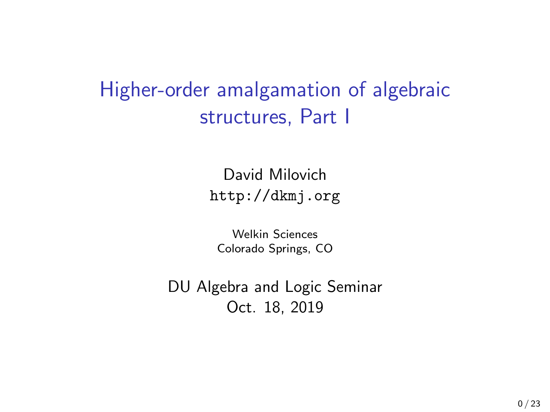## Higher-order amalgamation of algebraic structures, Part I

David Milovich <http://dkmj.org>

Welkin Sciences Colorado Springs, CO

DU Algebra and Logic Seminar Oct. 18, 2019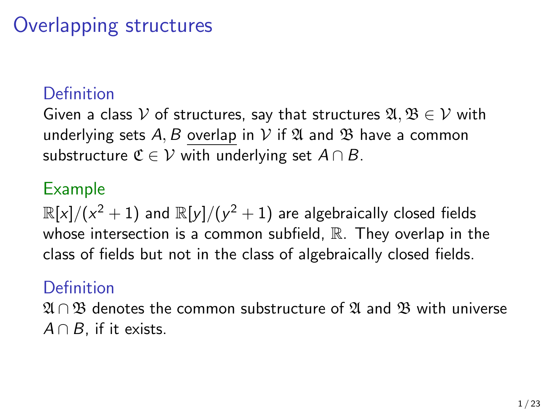## Overlapping structures

### Definition

Given a class V of structures, say that structures  $\mathfrak{A}, \mathfrak{B} \in \mathcal{V}$  with underlying sets A, B overlap in V if  $\mathfrak A$  and  $\mathfrak B$  have a common substructure  $\mathfrak{C} \in \mathcal{V}$  with underlying set  $A \cap B$ .

#### Example

 $\mathbb{R}[{\mathrm{\mathsf{x}}}] / ({\mathrm{\mathsf{x}}}^2 + 1)$  and  $\mathbb{R}[{\mathrm{\mathsf{y}}}] / ({\mathrm{\mathsf{y}}}^2 + 1)$  are algebraically closed fields whose intersection is a common subfield,  $\mathbb R$ . They overlap in the class of fields but not in the class of algebraically closed fields.

#### **Definition**

 $\mathfrak{A} \cap \mathfrak{B}$  denotes the common substructure of  $\mathfrak{A}$  and  $\mathfrak{B}$  with universe  $A \cap B$ , if it exists.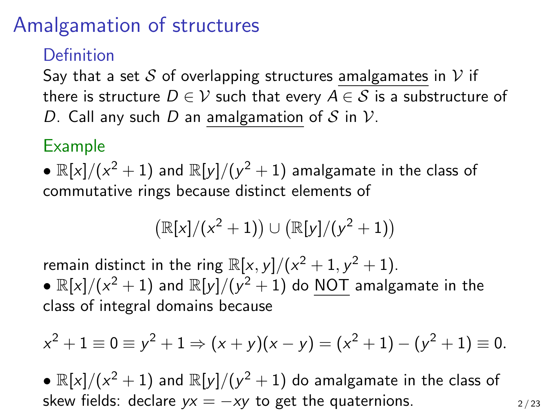## Amalgamation of structures

### Definition

Say that a set S of overlapping structures amalgamates in V if there is structure  $D \in \mathcal{V}$  such that every  $A \in \mathcal{S}$  is a substructure of D. Call any such D an amalgamation of S in V.

### Example

 $\bullet$   $\mathbb{R}[x]/(x^2+1)$  and  $\mathbb{R}[y]/(y^2+1)$  amalgamate in the class of commutative rings because distinct elements of

$$
\big(\mathbb{R}[x]/(x^2+1)\big) \cup \big(\mathbb{R}[y]/(y^2+1)\big)
$$

remain distinct in the ring  $\mathbb{R}[x, y]/(x^2 + 1, y^2 + 1)$ .

 $\bullet$   $\mathbb{R}[x]/(x^2+1)$  and  $\mathbb{R}[y]/(y^2+1)$  do NOT amalgamate in the class of integral domains because

$$
x^{2} + 1 \equiv 0 \equiv y^{2} + 1 \Rightarrow (x + y)(x - y) = (x^{2} + 1) - (y^{2} + 1) \equiv 0.
$$

•  $\mathbb{R}[x]/(x^2+1)$  and  $\mathbb{R}[y]/(y^2+1)$  do amalgamate in the class of skew fields: declare  $yx = -xy$  to get the quaternions.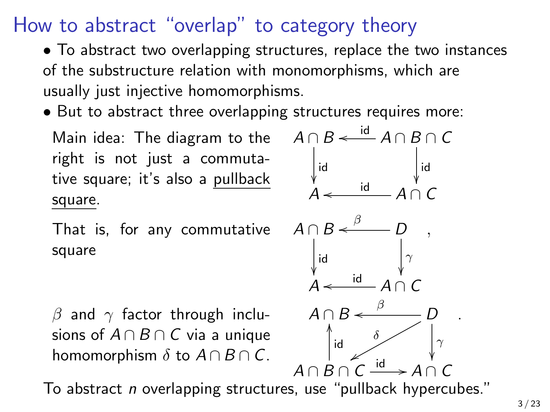## How to abstract "overlap" to category theory

• To abstract two overlapping structures, replace the two instances of the substructure relation with monomorphisms, which are usually just injective homomorphisms.

• But to abstract three overlapping structures requires more:

Main idea: The diagram to the right is not just a commutative square; it's also a pullback square.

That is, for any commutative square

 $A \cap B \xleftarrow{\text{id}} A \cap B \cap C$ id ן<br>ג id ľ  $A \leftarrow \qquad \qquad A \cap C$  $\leftarrow$  id  $A \cap B$ id í<br>A D β o  $\gamma$ ľ  $A \leftarrow \qquad \qquad A \cap C$ id ,  $A \cap B \xleftarrow{\beta} D$ o  $\gamma$ ľ δ x  $A \cap B \cap C$ id OO  $\stackrel{\text{id}}{\longrightarrow} A \cap C$ .

β and  $\gamma$  factor through inclusions of  $A \cap B \cap C$  via a unique homomorphism  $\delta$  to  $A \cap B \cap C$ .

To abstract n overlapping structures, use "pullback hypercubes."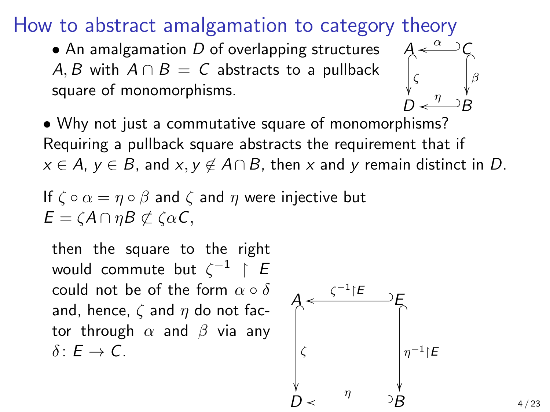How to abstract amalgamation to category theory

 $\bullet$  An amalgamation D of overlapping structures A, B with  $A \cap B = C$  abstracts to a pullback square of monomorphisms.



• Why not just a commutative square of monomorphisms? Requiring a pullback square abstracts the requirement that if  $x \in A$ ,  $y \in B$ , and  $x, y \notin A \cap B$ , then x and y remain distinct in D.

If  $\zeta \circ \alpha = \eta \circ \beta$  and  $\zeta$  and  $\eta$  were injective but  $E = \zeta A \cap \eta B \not\subset \zeta \alpha C$ ,

then the square to the right would commute but  $\zeta^{-1}$   $\restriction$   $E$ could not be of the form  $\alpha \circ \delta$ and, hence,  $\zeta$  and  $\eta$  do not factor through  $\alpha$  and  $\beta$  via any  $\delta: F \to C$ .

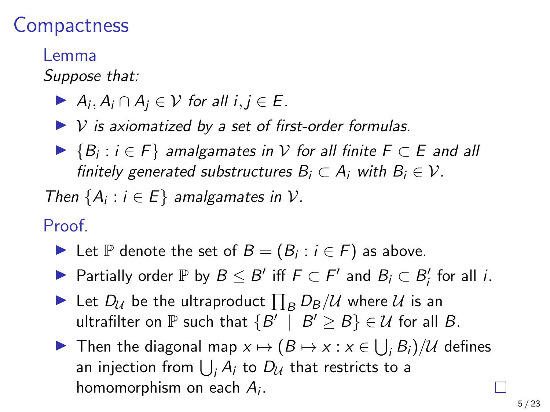### **Compactness**

#### Lemma

Suppose that:

- A<sub>i</sub>,  $A_i \cap A_j \in V$  for all  $i, j \in E$ .
- $\triangleright$  V is axiomatized by a set of first-order formulas.
- ▶  ${B_i : i \in F}$  amalgamates in  $V$  for all finite  $F \subset E$  and all finitely generated substructures  $B_i \subset A_i$  with  $B_i \in \mathcal{V}$ .

Then  $\{A_i : i \in E\}$  amalgamates in  $\mathcal{V}$ .

Proof.

- ► Let  $\mathbb P$  denote the set of  $B = (B_i : i \in F)$  as above.
- ▶ Partially order  $\mathbb P$  by  $B \leq B'$  iff  $F \subset F'$  and  $B_i \subset B'_i$  for all *i*.
- $\blacktriangleright$  Let  $D_{\mathcal{U}}$  be the ultraproduct  $\prod_{B} D_{B}/\mathcal{U}$  where  $\mathcal{U}$  is an ultrafilter on  $\mathbb P$  such that  $\{B' \, \mid \, B' \geq B\} \in \mathcal U$  for all  $B.$
- ▶ Then the diagonal map  $x \mapsto (B \mapsto x : x \in \bigcup_i B_i)/\mathcal{U}$  defines an injection from  $\bigcup_i A_i$  to  $D_{\mathcal U}$  that restricts to a homomorphism on each  $A_i$ .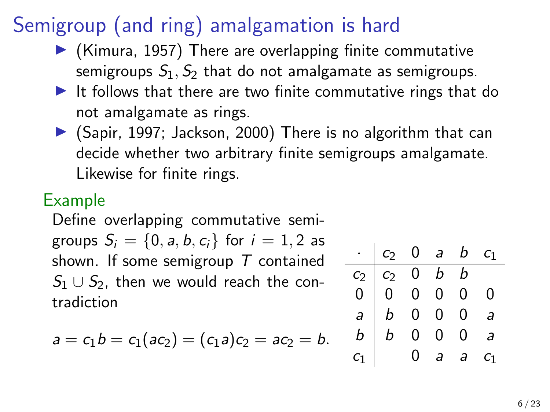# Semigroup (and ring) amalgamation is hard

- $\blacktriangleright$  (Kimura, 1957) There are overlapping finite commutative semigroups  $S_1$ ,  $S_2$  that do not amalgamate as semigroups.
- $\blacktriangleright$  It follows that there are two finite commutative rings that do not amalgamate as rings.
- $\triangleright$  (Sapir, 1997; Jackson, 2000) There is no algorithm that can decide whether two arbitrary finite semigroups amalgamate. Likewise for finite rings.

### Example

Define overlapping commutative semigroups  $S_i = \{0, a, b, c_i\}$  for  $i = 1, 2$  as shown. If some semigroup  $\tau$  contained  $S_1 \cup S_2$ , then we would reach the contradiction

$$
a = c_1 b = c_1 (ac_2) = (c_1 a) c_2 = ac_2 = b.
$$

| $\cdot$   $c_2$ 0 a b $c_1$                                                                                                         |               |   |   |
|-------------------------------------------------------------------------------------------------------------------------------------|---------------|---|---|
|                                                                                                                                     |               |   |   |
|                                                                                                                                     |               |   | 0 |
|                                                                                                                                     |               |   | a |
| $\begin{array}{c cccc} c_2 & c_2 & 0 & b & b \\ \hline 0 & 0 & 0 & 0 & 0 \\ a & b & 0 & 0 & 0 \\ b & b & 0 & 0 & 0 \\ \end{array},$ |               |   | a |
| $\begin{vmatrix} 1 & 0 \\ 0 & 1 \end{vmatrix}$                                                                                      | $\frac{1}{a}$ | a |   |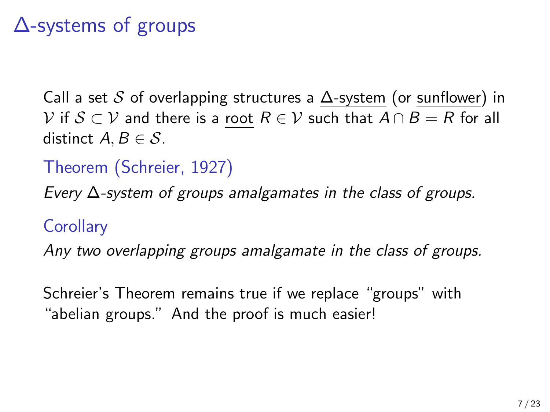## ∆-systems of groups

Call a set S of overlapping structures a  $\Delta$ -system (or sunflower) in  $\mathcal V$  if  $\mathcal S\subset \mathcal V$  and there is a root  $R\in \mathcal V$  such that  $A\cap B=R$  for all distinct  $A, B \in \mathcal{S}$ .

Theorem (Schreier, 1927)

Every ∆-system of groups amalgamates in the class of groups.

**Corollary** 

Any two overlapping groups amalgamate in the class of groups.

Schreier's Theorem remains true if we replace "groups" with "abelian groups." And the proof is much easier!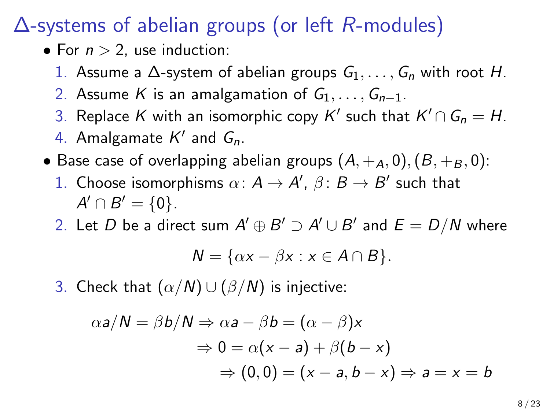∆-systems of abelian groups (or left R-modules)

- For  $n > 2$ , use induction:
	- 1. Assume a  $\Delta$ -system of abelian groups  $G_1, \ldots, G_n$  with root H.
	- 2. Assume K is an amalgamation of  $G_1, \ldots, G_{n-1}$ .
	- 3. Replace  $K$  with an isomorphic copy  $K'$  such that  $K' \cap G_n = H$ .
	- 4. Amalgamate  $K'$  and  $G_n$ .
- Base case of overlapping abelian groups  $(A, +_A, 0), (B, +_B, 0)$ :
	- 1. Choose isomorphisms  $\alpha: A \to A', \beta: B \to B'$  such that  $A' \cap B' = \{0\}.$
	- 2. Let  $D$  be a direct sum  $A'\oplus B'\supset A'\cup B'$  and  $E=D/N$  where

$$
N = \{ \alpha x - \beta x : x \in A \cap B \}.
$$

3. Check that  $(\alpha/N) \cup (\beta/N)$  is injective:

$$
\alpha a/N = \beta b/N \Rightarrow \alpha a - \beta b = (\alpha - \beta)x
$$
  
\n
$$
\Rightarrow 0 = \alpha(x - a) + \beta(b - x)
$$
  
\n
$$
\Rightarrow (0, 0) = (x - a, b - x) \Rightarrow a = x = b
$$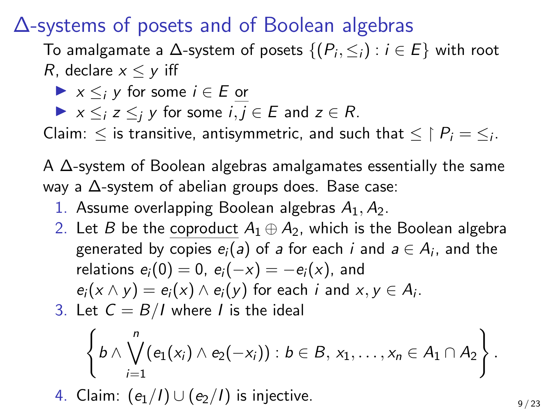∆-systems of posets and of Boolean algebras

To amalgamate a  $\Delta$ -system of posets  $\{(P_i, \leq_i): i \in E\}$  with root R, declare  $x \leq y$  iff

 $\blacktriangleright$   $x \leq i$  v for some  $i \in E$  or

 $\triangleright$   $x \leq i \leq j$  y for some  $i, j \in E$  and  $z \in R$ .

Claim:  $\leq$  is transitive, antisymmetric, and such that  $\leq \restriction P_i = \leq_i$ .

A ∆-system of Boolean algebras amalgamates essentially the same way a ∆-system of abelian groups does. Base case:

- 1. Assume overlapping Boolean algebras  $A_1, A_2$ .
- 2. Let B be the coproduct  $A_1 \oplus A_2$ , which is the Boolean algebra generated by copies  $e_i(a)$  of  $a$  for each  $i$  and  $a\in A_i,$  and the relations  $e_i(0) = 0$ ,  $e_i(-x) = -e_i(x)$ , and  $e_i(x \wedge y) = e_i(x) \wedge e_i(y)$  for each i and  $x, y \in A_i$ .

3. Let 
$$
C = B/I
$$
 where *I* is the ideal

$$
\left\{b\wedge\bigvee_{i=1}^n(e_1(x_i)\wedge e_2(-x_i)):b\in B,\,x_1,\ldots,x_n\in A_1\cap A_2\right\}.
$$

4. Claim:  $(e_1/I) \cup (e_2/I)$  is injective.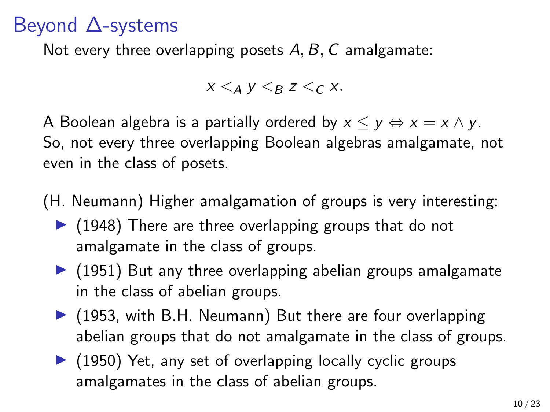## Beyond ∆-systems

Not every three overlapping posets  $A, B, C$  amalgamate:

 $x \leq_A y \leq_B z \leq_C x$ .

A Boolean algebra is a partially ordered by  $x \le y \Leftrightarrow x = x \wedge y$ . So, not every three overlapping Boolean algebras amalgamate, not even in the class of posets.

(H. Neumann) Higher amalgamation of groups is very interesting:

- $\blacktriangleright$  (1948) There are three overlapping groups that do not amalgamate in the class of groups.
- $\triangleright$  (1951) But any three overlapping abelian groups amalgamate in the class of abelian groups.
- $\triangleright$  (1953, with B.H. Neumann) But there are four overlapping abelian groups that do not amalgamate in the class of groups.
- $\blacktriangleright$  (1950) Yet, any set of overlapping locally cyclic groups amalgamates in the class of abelian groups.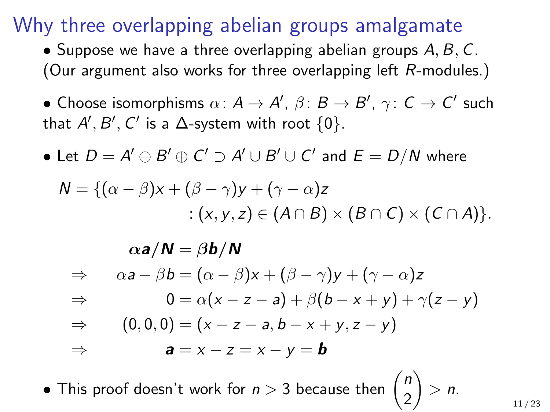### Why three overlapping abelian groups amalgamate

• Suppose we have a three overlapping abelian groups  $A, B, C$ . (Our argument also works for three overlapping left R-modules.)

• Choose isomorphisms  $\alpha \colon A \to A', \ \beta \colon B \to B', \ \gamma \colon \mathsf{C} \to \mathsf{C}'$  such that  $A', B', C'$  is a  $\Delta$ -system with root  $\{0\}.$ 

 $\bullet$  Let  $D = A' \oplus B' \oplus C' \supset A' \cup B' \cup C'$  and  $E = D/N$  where

$$
N = \{(\alpha - \beta)x + (\beta - \gamma)y + (\gamma - \alpha)z
$$
  
 :  $(x, y, z) \in (A \cap B) \times (B \cap C) \times (C \cap A)\}.$ 

$$
\alpha a/N = \beta b/N
$$
  
\n
$$
\Rightarrow \quad \alpha a - \beta b = (\alpha - \beta)x + (\beta - \gamma)y + (\gamma - \alpha)z
$$
  
\n
$$
\Rightarrow \quad 0 = \alpha(x - z - a) + \beta(b - x + y) + \gamma(z - y)
$$
  
\n
$$
\Rightarrow \quad (0, 0, 0) = (x - z - a, b - x + y, z - y)
$$
  
\n
$$
\Rightarrow \quad a = x - z = x - y = b
$$

• This proof doesn't work for  $n > 3$  because then  $\binom{n}{2}$ 2  $\Big\} > n$ .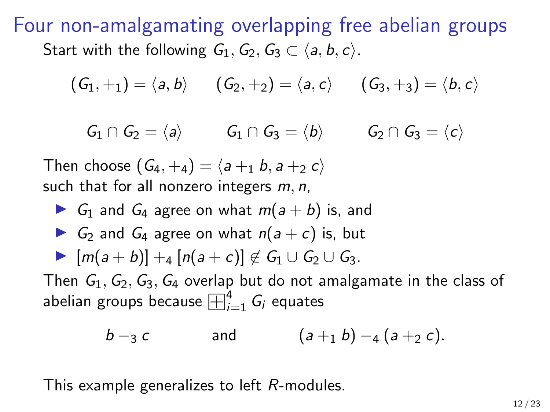Four non-amalgamating overlapping free abelian groups Start with the following  $G_1, G_2, G_3 \subset \langle a, b, c \rangle$ .

$$
(G_1,+_1)=\langle a,b\rangle \qquad (G_2,+_2)=\langle a,c\rangle \qquad (G_3,+_3)=\langle b,c\rangle
$$

 $G_1 \cap G_2 = \langle a \rangle$   $G_1 \cap G_3 = \langle b \rangle$   $G_2 \cap G_3 = \langle c \rangle$ 

Then choose  $(G_4, +4) = \langle a +1, b, a +2 \rangle$ such that for all nonzero integers  $m, n$ ,

G<sub>1</sub> and G<sub>4</sub> agree on what  $m(a + b)$  is, and G<sub>2</sub> and G<sub>4</sub> agree on what  $n(a + c)$  is, but  $\blacktriangleright$   $[m(a + b)] + 4[n(a + c)] \notin G_1 \cup G_2 \cup G_3$ . Then  $G_1, G_2, G_3, G_4$  overlap but do not amalgamate in the class of Then  $G_1, G_2, G_3, G_4$  overlap but do not a<br>abelian groups because  $\boxplus_{i=1}^4 G_i$  equates

$$
b - 3 c
$$
 and  $(a + 1 b) - 4 (a + 2 c)$ .

This example generalizes to left R-modules.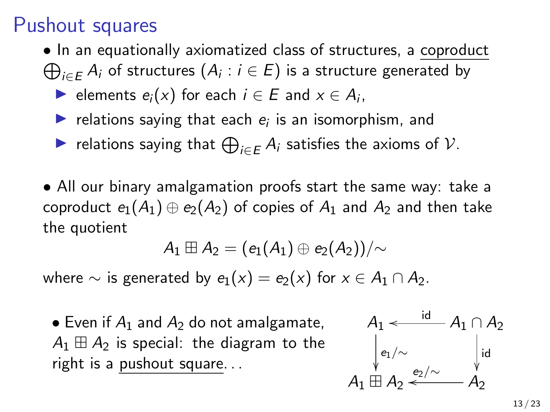## Pushout squares

- •In an equationally axiomatized class of structures, a coproduct
- $\bigoplus_{i\in E}A_i$  of structures  $(A_i:i\in E)$  is a structure generated by
	- **►** elements  $e_i(x)$  for each  $i \in E$  and  $x \in A_i$ ,
	- relations saying that each  $e_i$  is an isomorphism, and
	- ► relations saying that  $\bigoplus_{i \in E} A_i$  satisfies the axioms of  $\mathcal{V}$ .
- All our binary amalgamation proofs start the same way: take a coproduct  $e_1(A_1) \oplus e_2(A_2)$  of copies of  $A_1$  and  $A_2$  and then take the quotient

$$
A_1 \boxplus A_2 = (e_1(A_1) \oplus e_2(A_2))/\mathord{\sim}
$$

where  $\sim$  is generated by  $e_1(x) = e_2(x)$  for  $x \in A_1 \cap A_2$ .

• Even if  $A_1$  and  $A_2$  do not amalgamate,  $A_1 \boxplus A_2$  is special: the diagram to the right is a pushout square. . .

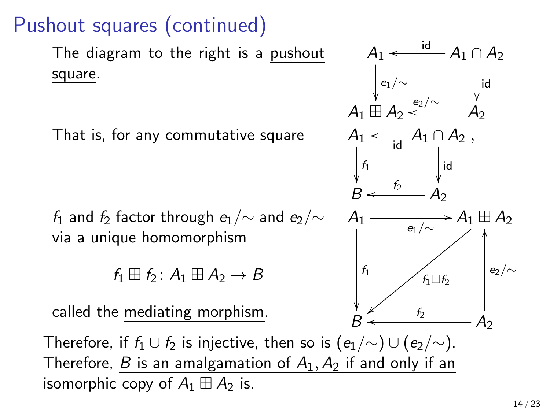# Pushout squares (continued)

The diagram to the right is a pushout square.

That is, for any commutative square

 $f_1$  and  $f_2$  factor through  $e_1/\mathord{\sim}$  and  $e_2/\mathord{\sim}$ via a unique homomorphism

 $f_1 \boxplus f_2 : A_1 \boxplus A_2 \rightarrow B$ 

called the mediating morphism.

Therefore, if  $f_1 \cup f_2$  is injective, then so is  $(e_1/\sim) \cup (e_2/\sim)$ . Therefore, B is an amalgamation of  $A_1$ ,  $A_2$  if and only if an isomorphic copy of  $A_1 \boxplus A_2$  is.

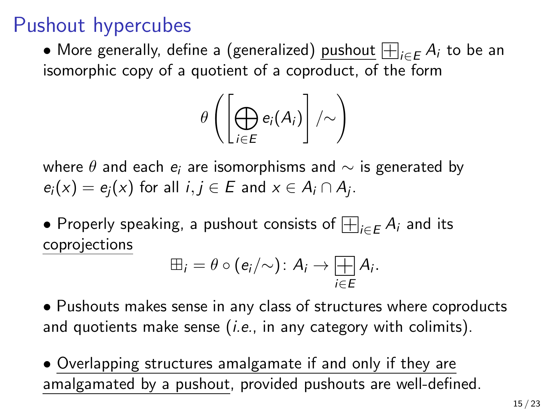## Pushout hypercubes

• More generally, define a (generalized)  $\frac{\text{pulsout}}{\text{pulsout}}$   $\bigoplus_{i \in E} A_i$  to be an isomorphic copy of a quotient of a coproduct, of the form

$$
\theta\left(\left[\bigoplus_{i\in E}e_i(A_i)\right]/\!\!\sim\right)
$$

where  $\theta$  and each  $e_i$  are isomorphisms and  $\sim$  is generated by  $e_i(x) = e_j(x)$  for all  $i, j \in E$  and  $x \in A_i \cap A_j$ .

 $\bullet$  Properly speaking, a pushout consists of  $\overline{\boxplus}_{i \in E} A_i$  and its coprojections

$$
\boxplus_i = \theta \circ (e_i/\!\!\sim) \colon A_i \to \mathop{\overline{\mathop{\bigoplus}\limits_{i\in E}}}\nolimits A_i.
$$

• Pushouts makes sense in any class of structures where coproducts and quotients make sense  $(i.e., in any category with colimits).$ 

• Overlapping structures amalgamate if and only if they are amalgamated by a pushout, provided pushouts are well-defined.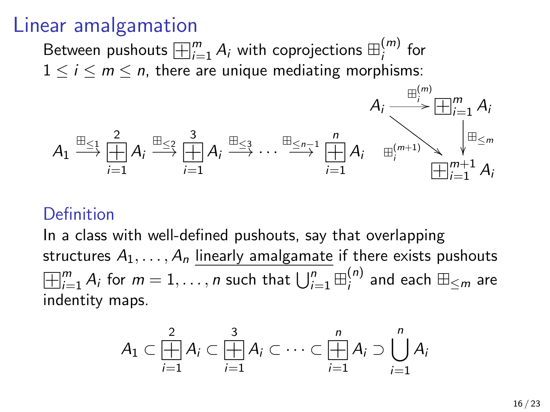### Linear amalgamation

Between pushouts  $\boxplus_{i=1}^{m}$   $A_i$  with coprojections  $\boxplus_{i}^{(m)}$  $\int_{i}^{(H)}$  for  $1 \le i \le m \le n$ , there are unique mediating morphisms:



#### Definition

In a class with well-defined pushouts, say that overlapping structures  $A_1, \ldots, A_n$  linearly amalgamate if there exists pushouts  $\Box$ m  $_{i=1}^{m}$   $A_{i}$  for  $m=1,\ldots,n$  such that  $\bigcup_{i=1}^{n}\boxplus_{i}^{(n)}$  $\binom{n}{i}$  and each  $\boxplus_{\leq m}$  are indentity maps.

$$
A_1\subset \underset{i=1}{\overset{2}{\underset{i=1}{\prod}}}A_i\subset \underset{i=1}{\overset{3}{\underset{i=1}{\prod}}}A_i\subset \cdots \subset \underset{i=1}{\overset{n}{\underset{i=1}{\prod}}}A_i\supset \bigcup_{i=1}^n A_i
$$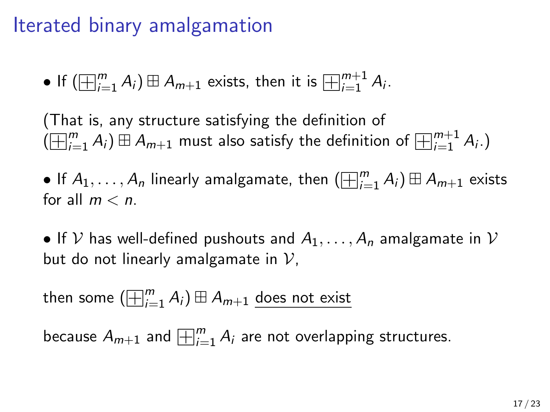## Iterated binary amalgamation

• If 
$$
(\boxplus_{i=1}^{m} A_i) \boxplus A_{m+1}
$$
 exists, then it is  $\boxplus_{i=1}^{m+1} A_i$ .

(That is, any structure satisfying the definition of (That is, any structure satisfying the definition of  $\bigoplus_{i=1}^m A_i$ )  $\boxplus A_{m+1}$  must also satisfy the definition of  $\bigoplus_{i=1}^{m+1} A_i$ .)

 $\bullet$  If  $A_1,\ldots,A_n$  linearly amalgamate, then  $(\boxplus_{i=1}^m A_i) \boxplus A_{m+1}$  exists for all  $m < n$ .

• If V has well-defined pushouts and  $A_1, \ldots, A_n$  amalgamate in V but do not linearly amalgamate in  $V$ ,

then some  $(\boxplus_{i=1}^{m}A_{i})\boxplus A_{m+1}$  <u>does not exist</u>

because  $\overline{A_{m+1}}$  and  $\overline{\boxplus_{i=1}^m A_i}$  are not overlapping structures.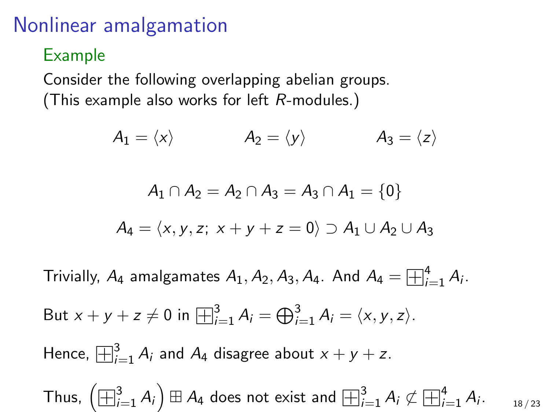## Nonlinear amalgamation

Example

Consider the following overlapping abelian groups. (This example also works for left R-modules.)

$$
A_1 = \langle x \rangle \qquad A_2 = \langle y \rangle \qquad A_3 = \langle z \rangle
$$

$$
A_1 \cap A_2 = A_2 \cap A_3 = A_3 \cap A_1 = \{0\}
$$

$$
A_4 = \langle x,y,z; ~ x+y+z=0 \rangle \supset A_1 \cup A_2 \cup A_3
$$

Trivially,  $A_4$  amalgamates  $A_1, A_2, A_3, A_4$ . And  $A_4 = \boxplus^4_{i_1}$  $i=1}^{4} A_i$ .

But 
$$
x + y + z \neq 0
$$
 in  $\boxplus_{i=1}^{3} A_i = \bigoplus_{i=1}^{3} A_i = \langle x, y, z \rangle$ .

Hence,  $\boxplus_{i=1}^{3}$   $A_{i}$  and  $A_{4}$  disagree about  $x + y + z$ .

Thus,  $\left(\boxplus_{i=1}^{3}A_{i}\right)\boxplus A_{4}$  does not exist and  $\boxplus_{i=1}^{3}A_{i}\not\subset A_{4}$  $\Box$ <sup>4</sup>  $i=1}^{4} A_i$ . 18 / 23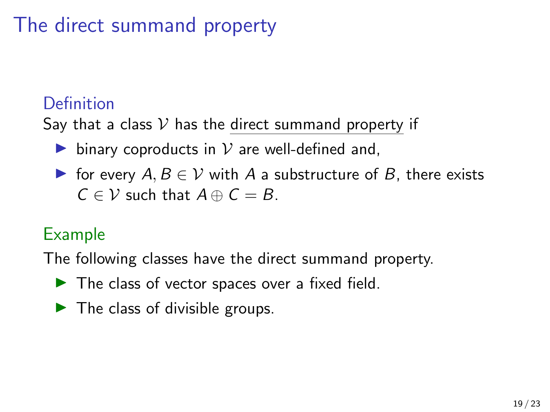# The direct summand property

### Definition

Say that a class  $V$  has the direct summand property if

- ighthroportional binary coproducts in  $V$  are well-defined and,
- $\triangleright$  for every  $A, B \in V$  with A a substructure of B, there exists  $C \in \mathcal{V}$  such that  $A \oplus C = B$ .

### Example

The following classes have the direct summand property.

- $\blacktriangleright$  The class of vector spaces over a fixed field.
- $\blacktriangleright$  The class of divisible groups.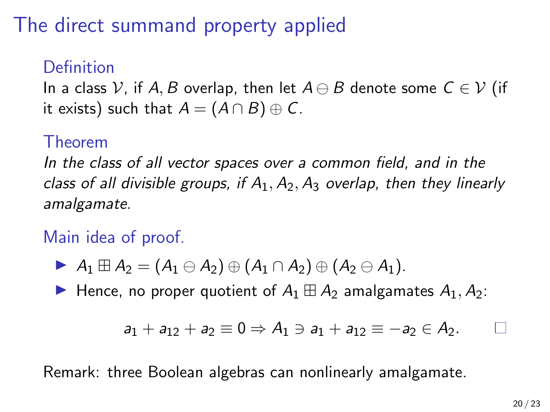# The direct summand property applied

### Definition

In a class V, if A, B overlap, then let  $A \ominus B$  denote some  $C \in V$  (if it exists) such that  $A = (A \cap B) \oplus C$ .

#### Theorem

In the class of all vector spaces over a common field, and in the class of all divisible groups, if  $A_1, A_2, A_3$  overlap, then they linearly amalgamate.

Main idea of proof.

$$
\blacktriangleright A_1 \boxplus A_2 = (A_1 \ominus A_2) \oplus (A_1 \cap A_2) \oplus (A_2 \ominus A_1).
$$

Hence, no proper quotient of  $A_1 \boxplus A_2$  amalgamates  $A_1, A_2$ :

$$
a_1 + a_{12} + a_2 \equiv 0 \Rightarrow A_1 \ni a_1 + a_{12} \equiv -a_2 \in A_2.
$$

Remark: three Boolean algebras can nonlinearly amalgamate.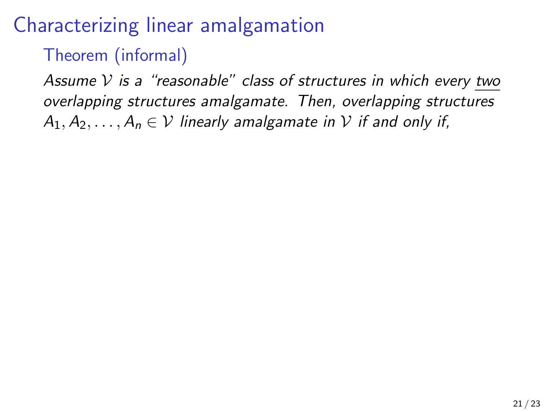### Theorem (informal)

Assume  $V$  is a "reasonable" class of structures in which every two overlapping structures amalgamate. Then, overlapping structures  $A_1, A_2, \ldots, A_n \in V$  linearly amalgamate in V if and only if,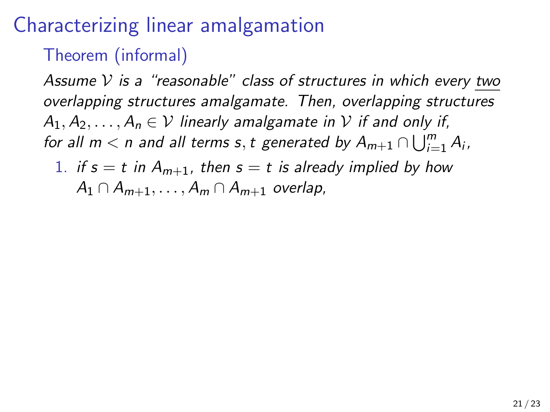### Theorem (informal)

Assume  $V$  is a "reasonable" class of structures in which every two overlapping structures amalgamate. Then, overlapping structures  $A_1, A_2, \ldots, A_n \in V$  linearly amalgamate in V if and only if, for all  $m < n$  and all terms  $s, t$  generated by  $A_{m+1} \cap \bigcup_{i=1}^{m} A_i$ ,

1. if  $s = t$  in  $A_{m+1}$ , then  $s = t$  is already implied by how  $A_1 \cap A_{m+1}, \ldots, A_m \cap A_{m+1}$  overlap,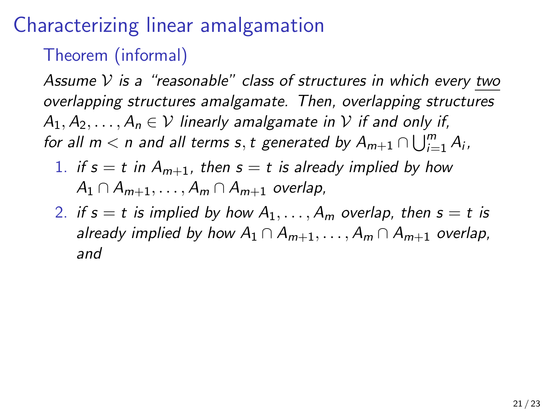### Theorem (informal)

Assume  $V$  is a "reasonable" class of structures in which every two overlapping structures amalgamate. Then, overlapping structures  $A_1, A_2, \ldots, A_n \in V$  linearly amalgamate in V if and only if, for all  $m < n$  and all terms  $s, t$  generated by  $A_{m+1} \cap \bigcup_{i=1}^{m} A_i$ ,

- 1. if  $s = t$  in  $A_{m+1}$ , then  $s = t$  is already implied by how  $A_1 \cap A_{m+1}, \ldots, A_m \cap A_{m+1}$  overlap,
- 2. if  $s = t$  is implied by how  $A_1, \ldots, A_m$  overlap, then  $s = t$  is already implied by how  $A_1 \cap A_{m+1}, \ldots, A_m \cap A_{m+1}$  overlap, and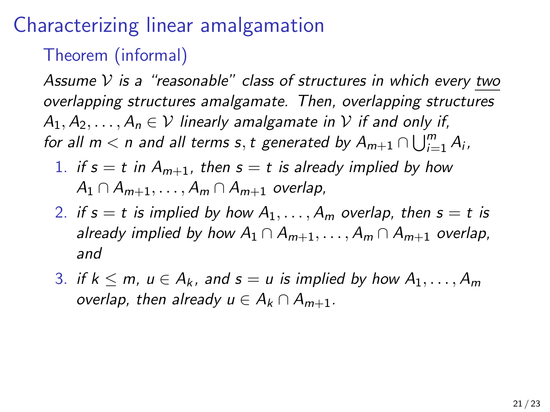### Theorem (informal)

Assume  $V$  is a "reasonable" class of structures in which every two overlapping structures amalgamate. Then, overlapping structures  $A_1, A_2, \ldots, A_n \in V$  linearly amalgamate in V if and only if, for all  $m < n$  and all terms  $s, t$  generated by  $A_{m+1} \cap \bigcup_{i=1}^{m} A_i$ ,

- 1. if  $s = t$  in  $A_{m+1}$ , then  $s = t$  is already implied by how  $A_1 \cap A_{m+1}, \ldots, A_m \cap A_{m+1}$  overlap,
- 2. if  $s = t$  is implied by how  $A_1, \ldots, A_m$  overlap, then  $s = t$  is already implied by how  $A_1 \cap A_{m+1}, \ldots, A_m \cap A_{m+1}$  overlap, and
- 3. if  $k \le m$ ,  $u \in A_k$ , and  $s = u$  is implied by how  $A_1, \ldots, A_m$ overlap, then already  $u \in A_k \cap A_{m+1}$ .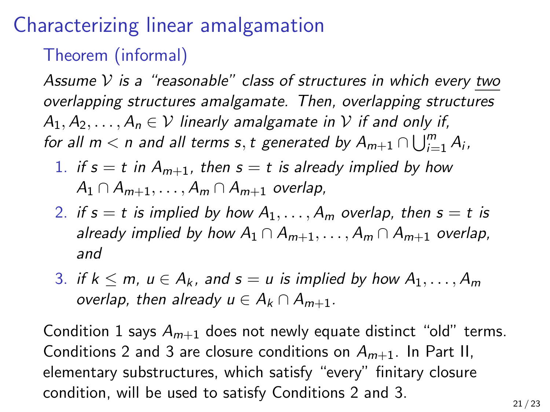### Theorem (informal)

Assume  $V$  is a "reasonable" class of structures in which every two overlapping structures amalgamate. Then, overlapping structures  $A_1, A_2, \ldots, A_n \in V$  linearly amalgamate in V if and only if, for all  $m < n$  and all terms  $s, t$  generated by  $A_{m+1} \cap \bigcup_{i=1}^{m} A_i$ ,

- 1. if  $s = t$  in  $A_{m+1}$ , then  $s = t$  is already implied by how  $A_1 \cap A_{m+1}, \ldots, A_m \cap A_{m+1}$  overlap,
- 2. if  $s = t$  is implied by how  $A_1, \ldots, A_m$  overlap, then  $s = t$  is already implied by how  $A_1 \cap A_{m+1}, \ldots, A_m \cap A_{m+1}$  overlap, and
- 3. if  $k \le m$ ,  $u \in A_k$ , and  $s = u$  is implied by how  $A_1, \ldots, A_m$ overlap, then already  $u \in A_k \cap A_{m+1}$ .

Condition 1 says  $A_{m+1}$  does not newly equate distinct "old" terms. Conditions 2 and 3 are closure conditions on  $A_{m+1}$ . In Part II, elementary substructures, which satisfy "every" finitary closure condition, will be used to satisfy Conditions 2 and 3.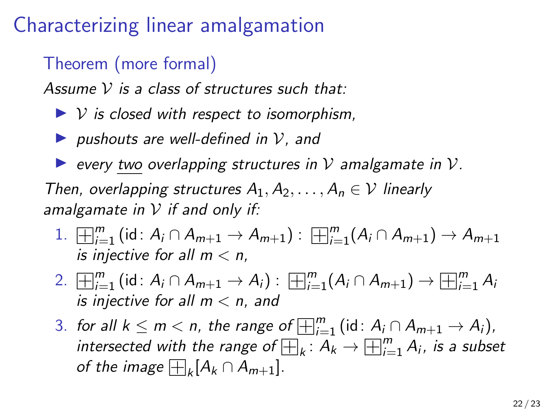### Theorem (more formal)

Assume  $V$  is a class of structures such that:

- $\triangleright$  V is closed with respect to isomorphism,
- **D** pushouts are well-defined in  $V$ , and
- $\triangleright$  every two overlapping structures in V amalgamate in V.

Then, overlapping structures  $A_1, A_2, \ldots, A_n \in \mathcal{V}$  linearly amalgamate in  $V$  if and only if:

- 1.  $\lim_{i=1}^{m}$  (id:  $A_i \cap A_{m+1} \to A_{m+1}$ ) :  $\lim_{i=1}^{m} (A_i \cap A_{m+1}) \to A_{m+1}$ is injective for all  $m < n$ .
- 2.  $\Box_{i=1}^{m}$  (id:  $A_i \cap A_{m+1} \to A_i$ ) :  $\Box_{i=1}^{m} (A_i \cap A_{m+1}) \to$  $\Box^m$  $_{i=1}^m A_i$ is injective for all  $m < n$ , and
- 3. for all  $k \le m < n$ , the range of  $\overline{\boxplus}_{i=1}^{m}$  (id:  $A_i \cap A_{m+1} \to A_i$ ),<br>intersected with the range of  $\overline{\boxplus}_{i=1}^{m}$  (id:  $A_i \cap A_{m+1} \to A_i$ ), for all  $k \leq m < n$ , the range of  $\boxplus_{i=1}^m$  (id:  $A_i \cap A_{m+1} \to A_i$ ),<br>intersected with the range of  $\boxplus_k : A_k \to \boxplus_{i=1}^m A_i$ , is a subset intersected with the range of  $_{{\mathbb E}}$ <br>of the image  $\boxplus_k [A_k \cap A_{m+1}].$